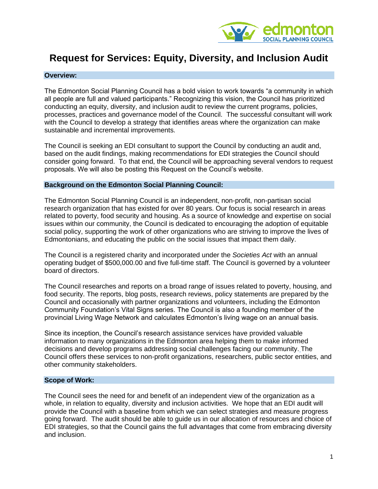

# **Request for Services: Equity, Diversity, and Inclusion Audit**

#### **Overview:**

The Edmonton Social Planning Council has a bold vision to work towards "a community in which all people are full and valued participants." Recognizing this vision, the Council has prioritized conducting an equity, diversity, and inclusion audit to review the current programs, policies, processes, practices and governance model of the Council. The successful consultant will work with the Council to develop a strategy that identifies areas where the organization can make sustainable and incremental improvements.

The Council is seeking an EDI consultant to support the Council by conducting an audit and, based on the audit findings, making recommendations for EDI strategies the Council should consider going forward. To that end, the Council will be approaching several vendors to request proposals. We will also be posting this Request on the Council's website.

#### **Background on the Edmonton Social Planning Council:**

The Edmonton Social Planning Council is an independent, non-profit, non-partisan social research organization that has existed for over 80 years. Our focus is social research in areas related to poverty, food security and housing. As a source of knowledge and expertise on social issues within our community, the Council is dedicated to encouraging the adoption of equitable social policy, supporting the work of other organizations who are striving to improve the lives of Edmontonians, and educating the public on the social issues that impact them daily.

The Council is a registered charity and incorporated under the *Societies Act* with an annual operating budget of \$500,000.00 and five full-time staff. The Council is governed by a volunteer board of directors.

The Council researches and reports on a broad range of issues related to poverty, housing, and food security. The reports, blog posts, research reviews, policy statements are prepared by the Council and occasionally with partner organizations and volunteers, including the Edmonton Community Foundation's Vital Signs series. The Council is also a founding member of the provincial Living Wage Network and calculates Edmonton's living wage on an annual basis.

Since its inception, the Council's research assistance services have provided valuable information to many organizations in the Edmonton area helping them to make informed decisions and develop programs addressing social challenges facing our community. The Council offers these services to non-profit organizations, researchers, public sector entities, and other community stakeholders.

#### **Scope of Work:**

The Council sees the need for and benefit of an independent view of the organization as a whole, in relation to equality, diversity and inclusion activities. We hope that an EDI audit will provide the Council with a baseline from which we can select strategies and measure progress going forward. The audit should be able to guide us in our allocation of resources and choice of EDI strategies, so that the Council gains the full advantages that come from embracing diversity and inclusion.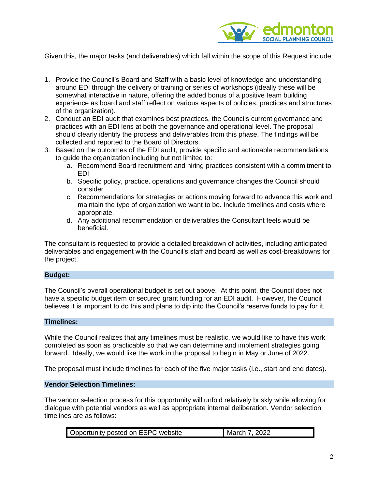

Given this, the major tasks (and deliverables) which fall within the scope of this Request include:

- 1. Provide the Council's Board and Staff with a basic level of knowledge and understanding around EDI through the delivery of training or series of workshops (ideally these will be somewhat interactive in nature, offering the added bonus of a positive team building experience as board and staff reflect on various aspects of policies, practices and structures of the organization).
- 2. Conduct an EDI audit that examines best practices, the Councils current governance and practices with an EDI lens at both the governance and operational level. The proposal should clearly identify the process and deliverables from this phase. The findings will be collected and reported to the Board of Directors.
- 3. Based on the outcomes of the EDI audit, provide specific and actionable recommendations to guide the organization including but not limited to:
	- a. Recommend Board recruitment and hiring practices consistent with a commitment to EDI
	- b. Specific policy, practice, operations and governance changes the Council should consider
	- c. Recommendations for strategies or actions moving forward to advance this work and maintain the type of organization we want to be. Include timelines and costs where appropriate.
	- d. Any additional recommendation or deliverables the Consultant feels would be beneficial.

The consultant is requested to provide a detailed breakdown of activities, including anticipated deliverables and engagement with the Council's staff and board as well as cost-breakdowns for the project.

#### **Budget:**

The Council's overall operational budget is set out above. At this point, the Council does not have a specific budget item or secured grant funding for an EDI audit. However, the Council believes it is important to do this and plans to dip into the Council's reserve funds to pay for it.

#### **Timelines:**

While the Council realizes that any timelines must be realistic, we would like to have this work completed as soon as practicable so that we can determine and implement strategies going forward. Ideally, we would like the work in the proposal to begin in May or June of 2022.

The proposal must include timelines for each of the five major tasks (i.e., start and end dates).

#### **Vendor Selection Timelines:**

The vendor selection process for this opportunity will unfold relatively briskly while allowing for dialogue with potential vendors as well as appropriate internal deliberation. Vendor selection timelines are as follows: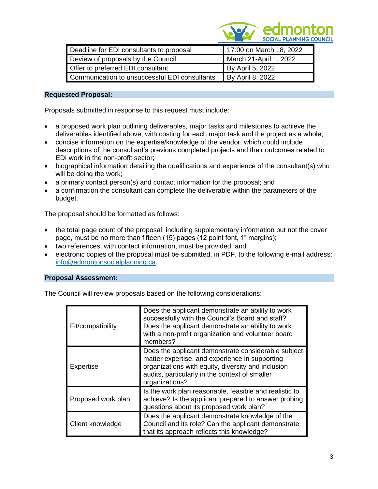

| Deadline for EDI consultants to proposal      | 17:00 on March 18, 2022 |
|-----------------------------------------------|-------------------------|
| Review of proposals by the Council            | March 21-April 1, 2022  |
| Offer to preferred EDI consultant             | By April 5, 2022        |
| Communication to unsuccessful EDI consultants | By April 8, 2022        |

## **Requested Proposal:**

Proposals submitted in response to this request must include:

- a proposed work plan outlining deliverables, major tasks and milestones to achieve the deliverables identified above, with costing for each major task and the project as a whole;
- concise information on the expertise/knowledge of the vendor, which could include descriptions of the consultant's previous completed projects and their outcomes related to EDI work in the non-profit sector;
- biographical information detailing the qualifications and experience of the consultant(s) who will be doing the work;
- a primary contact person(s) and contact information for the proposal; and
- a confirmation the consultant can complete the deliverable within the parameters of the budget.

The proposal should be formatted as follows:

- the total page count of the proposal, including supplementary information but not the cover page, must be no more than fifteen (15) pages (12 point font, 1" margins);
- two references, with contact information, must be provided; and
- electronic copies of the proposal must be submitted, in PDF, to the following e-mail address: [info@edmontonsocialplanning.ca.](mailto:info@edmontonsocialplanning.ca)

## **Proposal Assessment:**

The Council will review proposals based on the following considerations:

| Fit/compatibility  | Does the applicant demonstrate an ability to work<br>successfully with the Council's Board and staff?<br>Does the applicant demonstrate an ability to work<br>with a non-profit organization and volunteer board<br>members?    |
|--------------------|---------------------------------------------------------------------------------------------------------------------------------------------------------------------------------------------------------------------------------|
| Expertise          | Does the applicant demonstrate considerable subject<br>matter expertise, and experience in supporting<br>organizations with equity, diversity and inclusion<br>audits, particularly in the context of smaller<br>organizations? |
| Proposed work plan | Is the work plan reasonable, feasible and realistic to<br>achieve? Is the applicant prepared to answer probing<br>questions about its proposed work plan?                                                                       |
| Client knowledge   | Does the applicant demonstrate knowledge of the<br>Council and its role? Can the applicant demonstrate<br>that its approach reflects this knowledge?                                                                            |